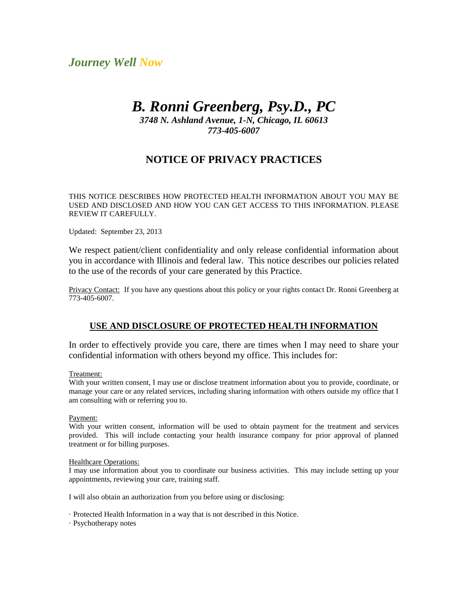# *Journey Well Now*

# *B. Ronni Greenberg, Psy.D., PC*

*3748 N. Ashland Avenue, 1-N, Chicago, IL 60613 773-405-6007*

# **NOTICE OF PRIVACY PRACTICES**

THIS NOTICE DESCRIBES HOW PROTECTED HEALTH INFORMATION ABOUT YOU MAY BE USED AND DISCLOSED AND HOW YOU CAN GET ACCESS TO THIS INFORMATION. PLEASE REVIEW IT CAREFULLY.

Updated: September 23, 2013

We respect patient/client confidentiality and only release confidential information about you in accordance with Illinois and federal law. This notice describes our policies related to the use of the records of your care generated by this Practice.

Privacy Contact: If you have any questions about this policy or your rights contact Dr. Ronni Greenberg at 773-405-6007.

## **USE AND DISCLOSURE OF PROTECTED HEALTH INFORMATION**

In order to effectively provide you care, there are times when I may need to share your confidential information with others beyond my office. This includes for:

Treatment:

With your written consent, I may use or disclose treatment information about you to provide, coordinate, or manage your care or any related services, including sharing information with others outside my office that I am consulting with or referring you to.

Payment:

With your written consent, information will be used to obtain payment for the treatment and services provided. This will include contacting your health insurance company for prior approval of planned treatment or for billing purposes.

#### Healthcare Operations:

I may use information about you to coordinate our business activities. This may include setting up your appointments, reviewing your care, training staff.

I will also obtain an authorization from you before using or disclosing:

· Protected Health Information in a way that is not described in this Notice.

· Psychotherapy notes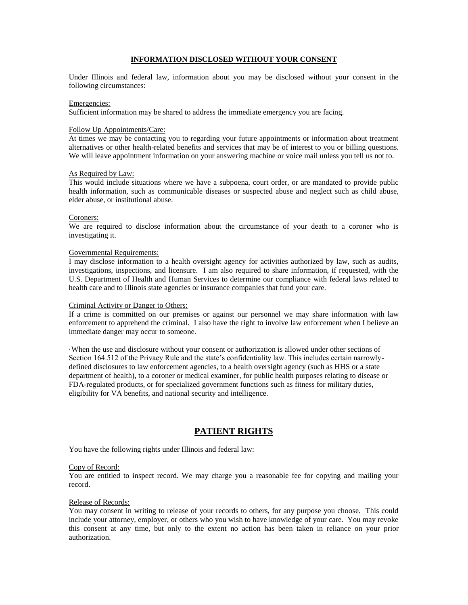#### **INFORMATION DISCLOSED WITHOUT YOUR CONSENT**

Under Illinois and federal law, information about you may be disclosed without your consent in the following circumstances:

#### Emergencies:

Sufficient information may be shared to address the immediate emergency you are facing.

#### Follow Up Appointments/Care:

At times we may be contacting you to regarding your future appointments or information about treatment alternatives or other health-related benefits and services that may be of interest to you or billing questions. We will leave appointment information on your answering machine or voice mail unless you tell us not to.

#### As Required by Law:

This would include situations where we have a subpoena, court order, or are mandated to provide public health information, such as communicable diseases or suspected abuse and neglect such as child abuse, elder abuse, or institutional abuse.

#### Coroners:

We are required to disclose information about the circumstance of your death to a coroner who is investigating it.

#### Governmental Requirements:

I may disclose information to a health oversight agency for activities authorized by law, such as audits, investigations, inspections, and licensure. I am also required to share information, if requested, with the U.S. Department of Health and Human Services to determine our compliance with federal laws related to health care and to Illinois state agencies or insurance companies that fund your care.

#### Criminal Activity or Danger to Others:

If a crime is committed on our premises or against our personnel we may share information with law enforcement to apprehend the criminal. I also have the right to involve law enforcement when I believe an immediate danger may occur to someone.

·When the use and disclosure without your consent or authorization is allowed under other sections of Section 164.512 of the Privacy Rule and the state's confidentiality law. This includes certain narrowlydefined disclosures to law enforcement agencies, to a health oversight agency (such as HHS or a state department of health), to a coroner or medical examiner, for public health purposes relating to disease or FDA-regulated products, or for specialized government functions such as fitness for military duties, eligibility for VA benefits, and national security and intelligence.

### **PATIENT RIGHTS**

You have the following rights under Illinois and federal law:

#### Copy of Record:

You are entitled to inspect record. We may charge you a reasonable fee for copying and mailing your record.

#### Release of Records:

You may consent in writing to release of your records to others, for any purpose you choose. This could include your attorney, employer, or others who you wish to have knowledge of your care. You may revoke this consent at any time, but only to the extent no action has been taken in reliance on your prior authorization.